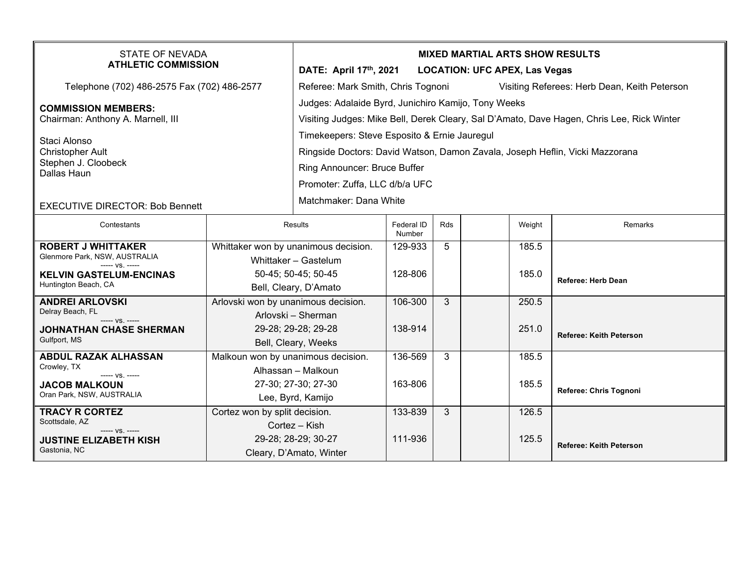| <b>STATE OF NEVADA</b><br><b>ATHLETIC COMMISSION</b>                                                               |                                                                                                         | <b>MIXED MARTIAL ARTS SHOW RESULTS</b><br>DATE: April 17th, 2021<br><b>LOCATION: UFC APEX, Las Vegas</b>                                                                                       |                      |            |                |                                              |  |  |
|--------------------------------------------------------------------------------------------------------------------|---------------------------------------------------------------------------------------------------------|------------------------------------------------------------------------------------------------------------------------------------------------------------------------------------------------|----------------------|------------|----------------|----------------------------------------------|--|--|
| Telephone (702) 486-2575 Fax (702) 486-2577                                                                        |                                                                                                         | Referee: Mark Smith, Chris Tognoni                                                                                                                                                             |                      |            |                | Visiting Referees: Herb Dean, Keith Peterson |  |  |
| <b>COMMISSION MEMBERS:</b><br>Chairman: Anthony A. Marnell, III                                                    |                                                                                                         | Judges: Adalaide Byrd, Junichiro Kamijo, Tony Weeks<br>Visiting Judges: Mike Bell, Derek Cleary, Sal D'Amato, Dave Hagen, Chris Lee, Rick Winter                                               |                      |            |                |                                              |  |  |
| Staci Alonso<br>Christopher Ault<br>Stephen J. Cloobeck<br>Dallas Haun                                             |                                                                                                         | Timekeepers: Steve Esposito & Ernie Jauregul<br>Ringside Doctors: David Watson, Damon Zavala, Joseph Heflin, Vicki Mazzorana<br>Ring Announcer: Bruce Buffer<br>Promoter: Zuffa, LLC d/b/a UFC |                      |            |                |                                              |  |  |
| <b>EXECUTIVE DIRECTOR: Bob Bennett</b>                                                                             |                                                                                                         | Matchmaker: Dana White                                                                                                                                                                         |                      |            |                |                                              |  |  |
| Contestants                                                                                                        | Results                                                                                                 |                                                                                                                                                                                                | Federal ID<br>Number | <b>Rds</b> | Weight         | Remarks                                      |  |  |
| <b>ROBERT J WHITTAKER</b><br>Glenmore Park, NSW, AUSTRALIA<br>$--- VS$ . $---$                                     | Whittaker won by unanimous decision.<br>Whittaker - Gastelum                                            |                                                                                                                                                                                                | 129-933              | 5          | 185.5          |                                              |  |  |
| <b>KELVIN GASTELUM-ENCINAS</b><br>Huntington Beach, CA                                                             | 50-45; 50-45; 50-45<br>Bell, Cleary, D'Amato                                                            |                                                                                                                                                                                                | 128-806              |            | 185.0          | <b>Referee: Herb Dean</b>                    |  |  |
| <b>ANDREI ARLOVSKI</b><br>Delray Beach, FL<br>$--- vs. ---$<br><b>JOHNATHAN CHASE SHERMAN</b><br>Gulfport, MS      | Arlovski won by unanimous decision.<br>Arlovski – Sherman<br>29-28; 29-28; 29-28<br>Bell, Cleary, Weeks |                                                                                                                                                                                                | 106-300<br>138-914   | 3          | 250.5<br>251.0 | Referee: Keith Peterson                      |  |  |
| <b>ABDUL RAZAK ALHASSAN</b><br>Crowley, TX<br>----- VS. -----<br><b>JACOB MALKOUN</b><br>Oran Park, NSW, AUSTRALIA | Malkoun won by unanimous decision.<br>Alhassan - Malkoun<br>27-30; 27-30; 27-30<br>Lee, Byrd, Kamijo    |                                                                                                                                                                                                | 136-569<br>163-806   | 3          | 185.5<br>185.5 | Referee: Chris Tognoni                       |  |  |
| <b>TRACY R CORTEZ</b><br>Scottsdale, AZ<br>----- VS. -----<br><b>JUSTINE ELIZABETH KISH</b><br>Gastonia, NC        | Cortez won by split decision.<br>Cortez - Kish<br>29-28; 28-29; 30-27<br>Cleary, D'Amato, Winter        |                                                                                                                                                                                                | 133-839<br>111-936   | 3          | 126.5<br>125.5 | <b>Referee: Keith Peterson</b>               |  |  |